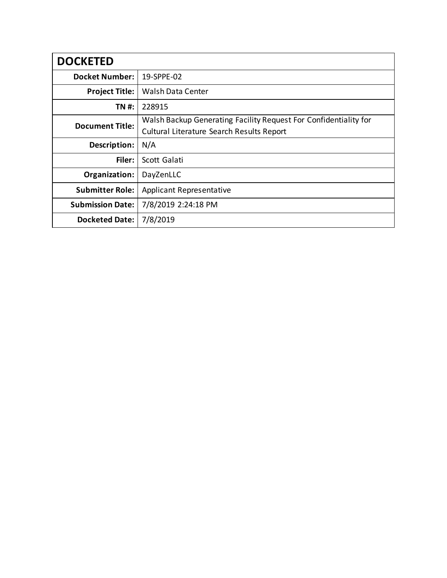| <b>DOCKETED</b>         |                                                                  |
|-------------------------|------------------------------------------------------------------|
| <b>Docket Number:</b>   | 19-SPPE-02                                                       |
| <b>Project Title:</b>   | <b>Walsh Data Center</b>                                         |
| TN #:                   | 228915                                                           |
| <b>Document Title:</b>  | Walsh Backup Generating Facility Request For Confidentiality for |
|                         | Cultural Literature Search Results Report                        |
| Description:            | N/A                                                              |
| Filer:                  | Scott Galati                                                     |
| Organization:           | DayZenLLC                                                        |
| <b>Submitter Role:</b>  | <b>Applicant Representative</b>                                  |
| <b>Submission Date:</b> | 7/8/2019 2:24:18 PM                                              |
| <b>Docketed Date:</b>   | 7/8/2019                                                         |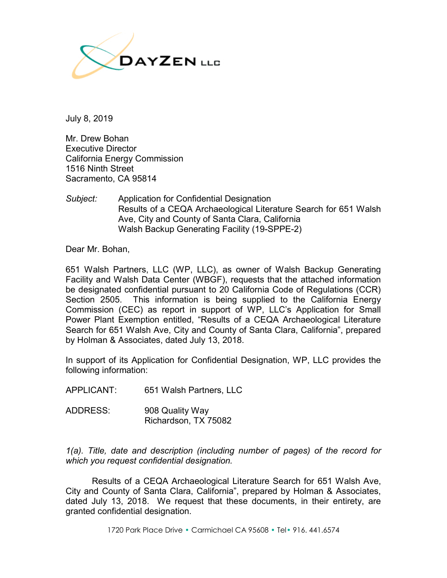

July 8, 2019

Mr. Drew Bohan Executive Director California Energy Commission 1516 Ninth Street Sacramento, CA 95814

*Subject:* Application for Confidential Designation Results of a CEQA Archaeological Literature Search for 651 Walsh Ave, City and County of Santa Clara, California Walsh Backup Generating Facility (19-SPPE-2)

Dear Mr. Bohan,

651 Walsh Partners, LLC (WP, LLC), as owner of Walsh Backup Generating Facility and Walsh Data Center (WBGF), requests that the attached information be designated confidential pursuant to 20 California Code of Regulations (CCR) Section 2505. This information is being supplied to the California Energy Commission (CEC) as report in support of WP, LLC's Application for Small Power Plant Exemption entitled, "Results of a CEQA Archaeological Literature Search for 651 Walsh Ave, City and County of Santa Clara, California", prepared by Holman & Associates, dated July 13, 2018.

In support of its Application for Confidential Designation, WP, LLC provides the following information:

APPLICANT: 651 Walsh Partners, LLC

ADDRESS: 908 Quality Way Richardson, TX 75082

*1(a). Title, date and description (including number of pages) of the record for which you request confidential designation.*

Results of a CEQA Archaeological Literature Search for 651 Walsh Ave, City and County of Santa Clara, California", prepared by Holman & Associates, dated July 13, 2018. We request that these documents, in their entirety, are granted confidential designation.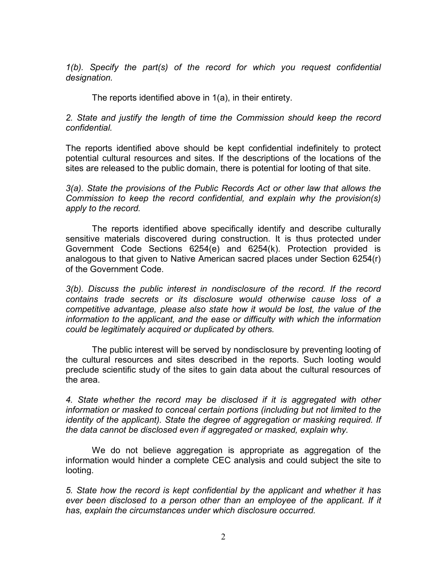*1(b). Specify the part(s) of the record for which you request confidential designation.*

The reports identified above in 1(a), in their entirety.

*2. State and justify the length of time the Commission should keep the record confidential.*

The reports identified above should be kept confidential indefinitely to protect potential cultural resources and sites. If the descriptions of the locations of the sites are released to the public domain, there is potential for looting of that site.

*3(a). State the provisions of the Public Records Act or other law that allows the Commission to keep the record confidential, and explain why the provision(s) apply to the record.*

The reports identified above specifically identify and describe culturally sensitive materials discovered during construction. It is thus protected under Government Code Sections 6254(e) and 6254(k). Protection provided is analogous to that given to Native American sacred places under Section 6254(r) of the Government Code.

*3(b). Discuss the public interest in nondisclosure of the record. If the record contains trade secrets or its disclosure would otherwise cause loss of a competitive advantage, please also state how it would be lost, the value of the information to the applicant, and the ease or difficulty with which the information could be legitimately acquired or duplicated by others.*

The public interest will be served by nondisclosure by preventing looting of the cultural resources and sites described in the reports. Such looting would preclude scientific study of the sites to gain data about the cultural resources of the area.

*4. State whether the record may be disclosed if it is aggregated with other information or masked to conceal certain portions (including but not limited to the identity of the applicant). State the degree of aggregation or masking required. If the data cannot be disclosed even if aggregated or masked, explain why.*

We do not believe aggregation is appropriate as aggregation of the information would hinder a complete CEC analysis and could subject the site to looting.

*5. State how the record is kept confidential by the applicant and whether it has ever been disclosed to a person other than an employee of the applicant. If it has, explain the circumstances under which disclosure occurred.*